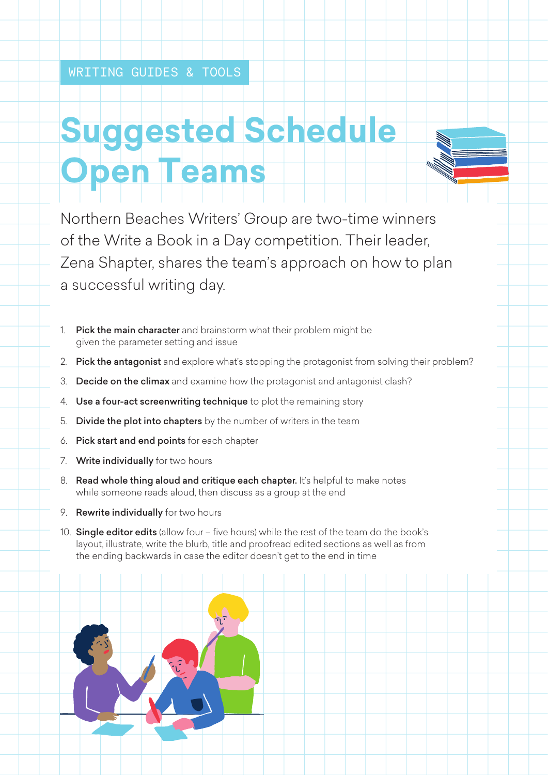## **Suggested Schedule Open Teams**

Northern Beaches Writers' Group are two-time winners of the Write a Book in a Day competition. Their leader, Zena Shapter, shares the team's approach on how to plan a successful writing day.

- 1. Pick the main character and brainstorm what their problem might be given the parameter setting and issue
- 2. Pick the antagonist and explore what's stopping the protagonist from solving their problem?
- 3. Decide on the climax and examine how the protagonist and antagonist clash?
- 4. Use a four-act screenwriting technique to plot the remaining story
- 5. Divide the plot into chapters by the number of writers in the team
- 6. Pick start and end points for each chapter
- 7. Write individually for two hours
- 8. Read whole thing aloud and critique each chapter. It's helpful to make notes while someone reads aloud, then discuss as a group at the end
- 9. Rewrite individually for two hours
- 10. Single editor edits (allow four five hours) while the rest of the team do the book's layout, illustrate, write the blurb, title and proofread edited sections as well as from the ending backwards in case the editor doesn't get to the end in time